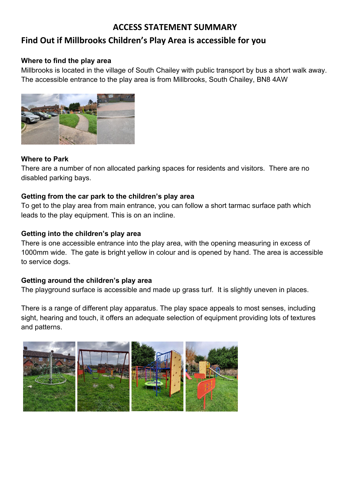## **ACCESS STATEMENT SUMMARY**

# **Find Out if Millbrooks Children's Play Area is accessible for you**

#### **Where to find the play area**

 Millbrooks is located in the village of South Chailey with public transport by bus a short walk away. The accessible entrance to the play area is from Millbrooks, South Chailey, BN8 4AW



#### **Where to Park**

 There are a number of non allocated parking spaces for residents and visitors. There are no disabled parking bays.

### **Getting from the car park to the children's play area**

 leads to the play equipment. This is on an incline. To get to the play area from main entrance, you can follow a short tarmac surface path which

### **Getting into the children's play area**

There is one accessible entrance into the play area, with the opening measuring in excess of 1000mm wide. The gate is bright yellow in colour and is opened by hand. The area is accessible to service dogs.

#### **Getting around the children's play area**

The playground surface is accessible and made up grass turf. It is slightly uneven in places.

 There is a range of different play apparatus. The play space appeals to most senses, including sight, hearing and touch, it offers an adequate selection of equipment providing lots of textures and patterns.